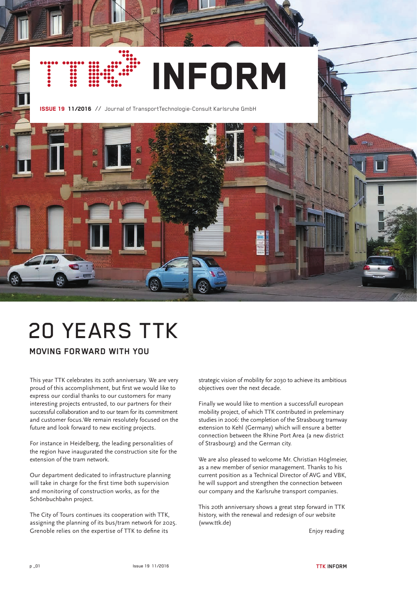# INFORM

ISSUE 19 11/2016 // Journal of TransportTechnologie-Consult Karlsruhe GmbH



# 20 YEARS TTK

**MOVING FORWARD WITH YOU**

This year TTK celebrates its 20th anniversary. We are very proud of this accomplishment, but first we would like to express our cordial thanks to our customers for many interesting projects entrusted, to our partners for their successful collaboration and to our team for its commitment and customer focus.We remain resolutely focused on the future and look forward to new exciting projects.

For instance in Heidelberg, the leading personalities of the region have inaugurated the construction site for the extension of the tram network.

Our department dedicated to infrastructure planning will take in charge for the first time both supervision and monitoring of construction works, as for the Schönbuchbahn project.

The City of Tours continues its cooperation with TTK, assigning the planning of its bus/tram network for 2025. Grenoble relies on the expertise of TTK to define its

strategic vision of mobility for 2030 to achieve its ambitious objectives over the next decade.

Finally we would like to mention a successfull european mobility project, of which TTK contributed in preleminary studies in 2006: the completion of the Strasbourg tramway extension to Kehl (Germany) which will ensure a better connection between the Rhine Port Area (a new district of Strasbourg) and the German city.

We are also pleased to welcome Mr. Christian Höglmeier, as a new member of senior management. Thanks to his current position as a Technical Director of AVG and VBK, he will support and strengthen the connection between our company and the Karlsruhe transport companies.

This 20th anniversary shows a great step forward in TTK history, with the renewal and redesign of our website (www.ttk.de)

Enjoy reading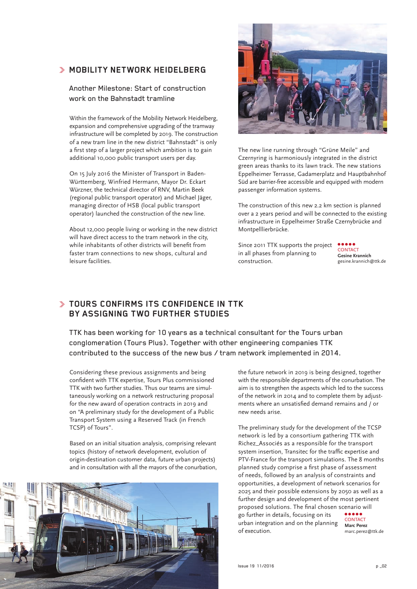### **MOBILITY NETWORK HEIDELBERG**

#### Another Milestone: Start of construction work on the Bahnstadt tramline

Within the framework of the Mobility Network Heidelberg, expansion and comprehensive upgrading of the tramway infrastructure will be completed by 2019. The construction of a new tram line in the new district "Bahnstadt" is only a first step of a larger project which ambition is to gain additional 10,000 public transport users per day.

On 15 July 2016 the Minister of Transport in Baden-Württemberg, Winfried Hermann, Mayor Dr. Eckart Würzner, the technical director of RNV, Martin Beek (regional public transport operator) and Michael Jäger, managing director of HSB (local public transport operator) launched the construction of the new line.

About 12,000 people living or working in the new district will have direct access to the tram network in the city, while inhabitants of other districts will benefit from faster tram connections to new shops, cultural and leisure facilities.



The new line running through "Grüne Meile" and Czernyring is harmoniously integrated in the district green areas thanks to its lawn track. The new stations Eppelheimer Terrasse, Gadamerplatz and Hauptbahnhof Süd are barrier-free accessible and equipped with modern passenger information systems.

The construction of this new 2.2 km section is planned over a 2 years period and will be connected to the existing infrastructure in Eppelheimer Straße Czernybrücke and Montpelllierbrücke.

Since 2011 TTK supports the project in all phases from planning to construction.

**CONTACT Gesine Krannich** gesine.krannich@ttk.de

# **TOURS CONFIRMS ITS CONFIDENCE IN TTK BY ASSIGNING TWO FURTHER STUDIES**

TTK has been working for 10 years as a technical consultant for the Tours urban conglomeration (Tours Plus). Together with other engineering companies TTK contributed to the success of the new bus / tram network implemented in 2014.

Considering these previous assignments and being confident with TTK expertise, Tours Plus commissioned TTK with two further studies. Thus our teams are simultaneously working on a network restructuring proposal for the new award of operation contracts in 2019 and on "A preliminary study for the development of a Public Transport System using a Reserved Track (in French TCSP) of Tours".

Based on an initial situation analysis, comprising relevant topics (history of network development, evolution of origin-destination customer data, future urban projects) and in consultation with all the mayors of the conurbation,



the future network in 2019 is being designed, together with the responsible departments of the conurbation. The aim is to strengthen the aspects which led to the success of the network in 2014 and to complete them by adjustments where an unsatisfied demand remains and / or new needs arise.

The preliminary study for the development of the TCSP network is led by a consortium gathering TTK with Richez\_Associés as a responsible for the transport system insertion, Transitec for the traffic expertise and PTV-France for the transport simulations. The 8 months planned study comprise a first phase of assessment of needs, followed by an analysis of constraints and opportunities, a development of network scenarios for 2025 and their possible extensions by 2050 as well as a further design and development of the most pertinent proposed solutions. The final chosen scenario will ..... go further in details, focusing on its CONTACT urban integration and on the planning **Marc Perez** of execution.

marc.perez@ttk.de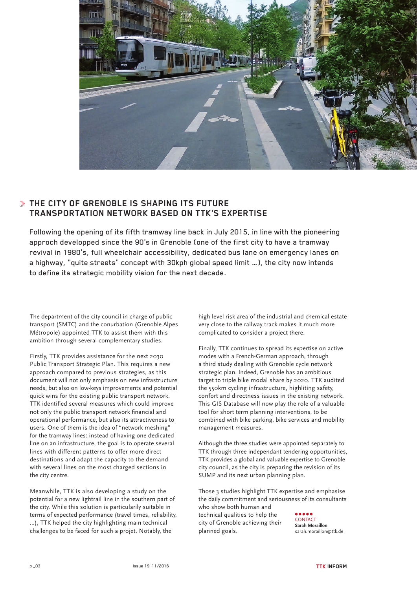

# **THE CITY OF GRENOBLE IS SHAPING ITS FUTURE TRANSPORTATION NETWORK BASED ON TTK'S EXPERTISE**

Following the opening of its fifth tramway line back in July 2015, in line with the pioneering approch developped since the 90's in Grenoble (one of the first city to have a tramway revival in 1980's, full wheelchair accessibility, dedicated bus lane on emergency lanes on a highway, "quite streets" concept with 30kph global speed limit …), the city now intends to define its strategic mobility vision for the next decade.

The department of the city council in charge of public transport (SMTC) and the conurbation (Grenoble Alpes Métropole) appointed TTK to assist them with this ambition through several complementary studies.

Firstly, TTK provides assistance for the next 2030 Public Transport Strategic Plan. This requires a new approach compared to previous strategies, as this document will not only emphasis on new infrastructure needs, but also on low-keys improvements and potential quick wins for the existing public transport network. TTK identified several measures which could improve not only the public transport network financial and operational performance, but also its attractiveness to users. One of them is the idea of "network meshing" for the tramway lines: instead of having one dedicated line on an infrastructure, the goal is to operate several lines with different patterns to offer more direct destinations and adapt the capacity to the demand with several lines on the most charged sections in the city centre.

Meanwhile, TTK is also developing a study on the potential for a new lightrail line in the southern part of the city. While this solution is particularily suitable in terms of expected performance (travel times, reliability, …), TTK helped the city highlighting main technical challenges to be faced for such a projet. Notably, the

high level risk area of the industrial and chemical estate very close to the railway track makes it much more complicated to consider a project there.

Finally, TTK continues to spread its expertise on active modes with a French-German approach, through a third study dealing with Grenoble cycle network strategic plan. Indeed, Grenoble has an ambitious target to triple bike modal share by 2020. TTK audited the 550km cycling infrastructure, highliting safety, confort and directness issues in the existing network. This GIS Database will now play the role of a valuable tool for short term planning interventions, to be combined with bike parking, bike services and mobility management measures.

Although the three studies were appointed separately to TTK through three independant tendering opportunities, TTK provides a global and valuable expertise to Grenoble city council, as the city is preparing the revision of its SUMP and its next urban planning plan.

Those 3 studies highlight TTK expertise and emphasise the daily commitment and seriousness of its consultants who show both human and technical qualities to help the city of Grenoble achieving their planned goals. **CONTACT Sarah Moraillon** sarah.moraillon@ttk.de